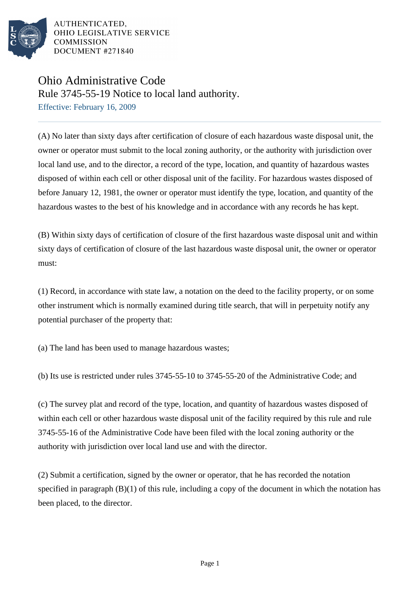

AUTHENTICATED. OHIO LEGISLATIVE SERVICE **COMMISSION** DOCUMENT #271840

## Ohio Administrative Code

Rule 3745-55-19 Notice to local land authority.

Effective: February 16, 2009

(A) No later than sixty days after certification of closure of each hazardous waste disposal unit, the owner or operator must submit to the local zoning authority, or the authority with jurisdiction over local land use, and to the director, a record of the type, location, and quantity of hazardous wastes disposed of within each cell or other disposal unit of the facility. For hazardous wastes disposed of before January 12, 1981, the owner or operator must identify the type, location, and quantity of the hazardous wastes to the best of his knowledge and in accordance with any records he has kept.

(B) Within sixty days of certification of closure of the first hazardous waste disposal unit and within sixty days of certification of closure of the last hazardous waste disposal unit, the owner or operator must:

(1) Record, in accordance with state law, a notation on the deed to the facility property, or on some other instrument which is normally examined during title search, that will in perpetuity notify any potential purchaser of the property that:

(a) The land has been used to manage hazardous wastes;

(b) Its use is restricted under rules 3745-55-10 to 3745-55-20 of the Administrative Code; and

(c) The survey plat and record of the type, location, and quantity of hazardous wastes disposed of within each cell or other hazardous waste disposal unit of the facility required by this rule and rule 3745-55-16 of the Administrative Code have been filed with the local zoning authority or the authority with jurisdiction over local land use and with the director.

(2) Submit a certification, signed by the owner or operator, that he has recorded the notation specified in paragraph (B)(1) of this rule, including a copy of the document in which the notation has been placed, to the director.